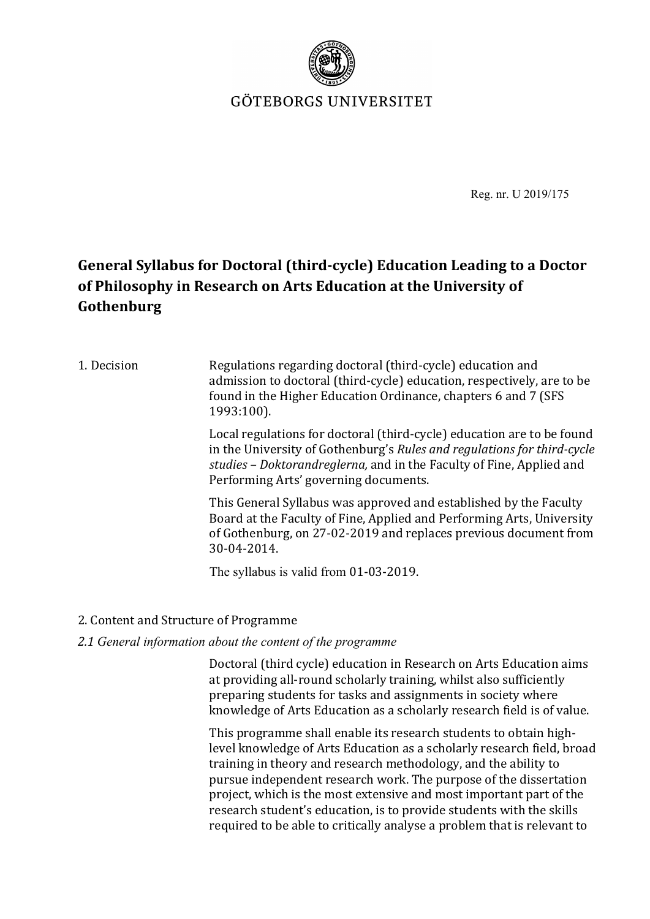

GÖTEBORGS UNIVERSITET

Reg. nr. U 2019/175

# **General Syllabus for Doctoral (third-cycle) Education Leading to a Doctor** of Philosophy in Research on Arts Education at the University of **Gothenburg**

### 1. Decision Regulations regarding doctoral (third-cycle) education and admission to doctoral (third-cycle) education, respectively, are to be found in the Higher Education Ordinance, chapters 6 and 7 (SFS 1993:100).

Local regulations for doctoral (third-cycle) education are to be found in the University of Gothenburg's *Rules and regulations for third-cycle* studies – Doktorandreglerna, and in the Faculty of Fine, Applied and Performing Arts' governing documents.

This General Syllabus was approved and established by the Faculty Board at the Faculty of Fine, Applied and Performing Arts, University of Gothenburg, on 27-02-2019 and replaces previous document from 30-04-2014. 

The syllabus is valid from 01-03-2019.

2. Content and Structure of Programme

### *2.1 General information about the content of the programme*

Doctoral (third cycle) education in Research on Arts Education aims at providing all-round scholarly training, whilst also sufficiently preparing students for tasks and assignments in society where knowledge of Arts Education as a scholarly research field is of value.

This programme shall enable its research students to obtain highlevel knowledge of Arts Education as a scholarly research field, broad training in theory and research methodology, and the ability to pursue independent research work. The purpose of the dissertation project, which is the most extensive and most important part of the research student's education, is to provide students with the skills required to be able to critically analyse a problem that is relevant to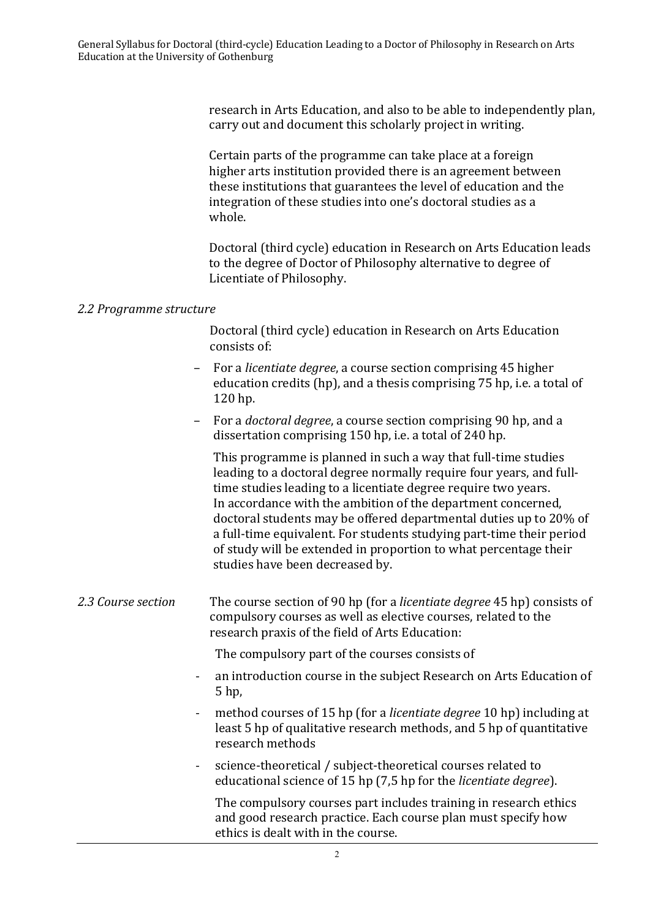research in Arts Education, and also to be able to independently plan. carry out and document this scholarly project in writing.

Certain parts of the programme can take place at a foreign higher arts institution provided there is an agreement between these institutions that guarantees the level of education and the integration of these studies into one's doctoral studies as a whole.

Doctoral (third cycle) education in Research on Arts Education leads to the degree of Doctor of Philosophy alternative to degree of Licentiate of Philosophy.

### *2.2 Programme structure*

Doctoral (third cycle) education in Research on Arts Education consists of:

- For a *licentiate degree*, a course section comprising 45 higher education credits (hp), and a thesis comprising 75 hp, i.e. a total of 120 hp.
- For a *doctoral degree*, a course section comprising 90 hp, and a dissertation comprising 150 hp, i.e. a total of 240 hp.

This programme is planned in such a way that full-time studies leading to a doctoral degree normally require four years, and fulltime studies leading to a licentiate degree require two years. In accordance with the ambition of the department concerned, doctoral students may be offered departmental duties up to 20% of a full-time equivalent. For students studying part-time their period of study will be extended in proportion to what percentage their studies have been decreased by.

### 2.3 *Course section* The course section of 90 hp (for a *licentiate degree* 45 hp) consists of compulsory courses as well as elective courses, related to the research praxis of the field of Arts Education:

The compulsory part of the courses consists of

- an introduction course in the subject Research on Arts Education of 5 hp,
- method courses of 15 hp (for a *licentiate degree* 10 hp) including at least 5 hp of qualitative research methods, and 5 hp of quantitative research methods
- science-theoretical / subject-theoretical courses related to educational science of 15 hp (7,5 hp for the *licentiate degree*).

The compulsory courses part includes training in research ethics and good research practice. Each course plan must specify how ethics is dealt with in the course.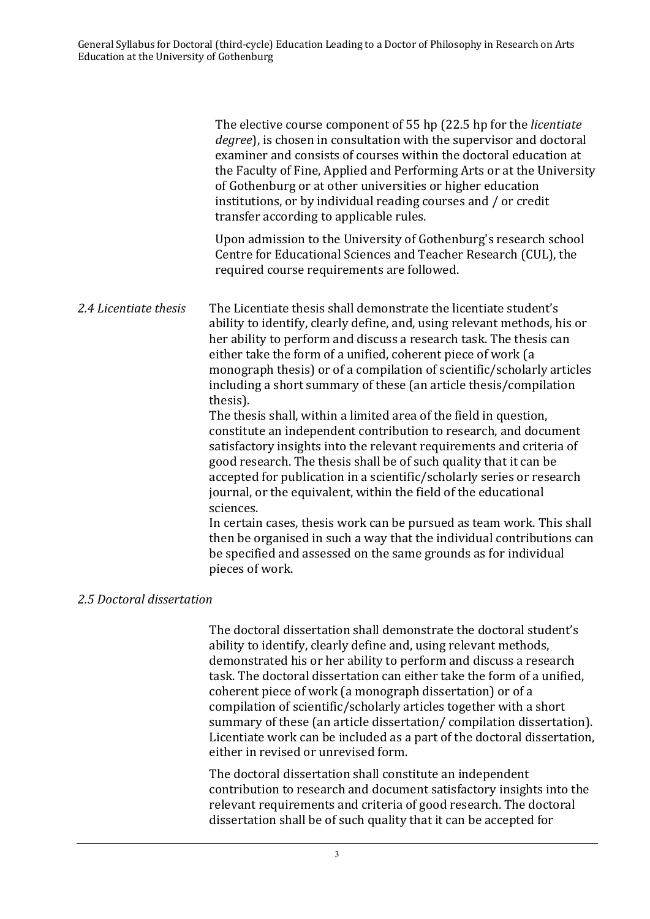The elective course component of 55 hp (22.5 hp for the *licentiate degree*), is chosen in consultation with the supervisor and doctoral examiner and consists of courses within the doctoral education at the Faculty of Fine, Applied and Performing Arts or at the University of Gothenburg or at other universities or higher education institutions, or by individual reading courses and / or credit transfer according to applicable rules.

Upon admission to the University of Gothenburg's research school Centre for Educational Sciences and Teacher Research (CUL), the required course requirements are followed.

2.4 Licentiate thesis The Licentiate thesis shall demonstrate the licentiate student's ability to identify, clearly define, and, using relevant methods, his or her ability to perform and discuss a research task. The thesis can either take the form of a unified, coherent piece of work (a monograph thesis) or of a compilation of scientific/scholarly articles including a short summary of these (an article thesis/compilation thesis). 

The thesis shall, within a limited area of the field in question, constitute an independent contribution to research, and document satisfactory insights into the relevant requirements and criteria of good research. The thesis shall be of such quality that it can be accepted for publication in a scientific/scholarly series or research journal, or the equivalent, within the field of the educational sciences. 

In certain cases, thesis work can be pursued as team work. This shall then be organised in such a way that the individual contributions can be specified and assessed on the same grounds as for individual pieces of work.

### *2.5 Doctoral dissertation*

The doctoral dissertation shall demonstrate the doctoral student's ability to identify, clearly define and, using relevant methods, demonstrated his or her ability to perform and discuss a research task. The doctoral dissertation can either take the form of a unified, coherent piece of work (a monograph dissertation) or of a compilation of scientific/scholarly articles together with a short summary of these (an article dissertation/ compilation dissertation). Licentiate work can be included as a part of the doctoral dissertation, either in revised or unrevised form.

The doctoral dissertation shall constitute an independent contribution to research and document satisfactory insights into the relevant requirements and criteria of good research. The doctoral dissertation shall be of such quality that it can be accepted for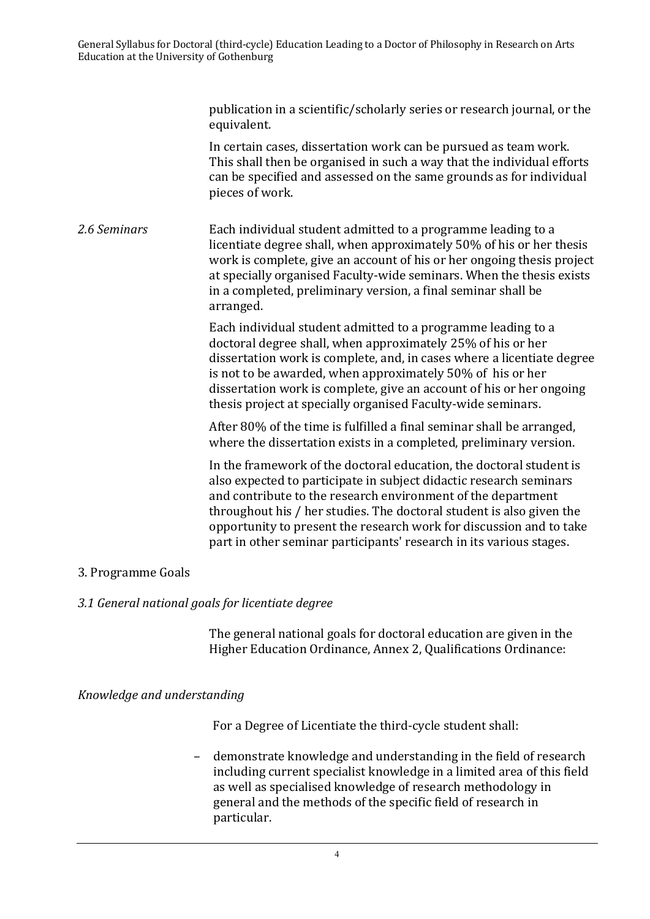publication in a scientific/scholarly series or research journal, or the equivalent.

In certain cases, dissertation work can be pursued as team work. This shall then be organised in such a way that the individual efforts can be specified and assessed on the same grounds as for individual pieces of work.

*2.6 Seminars* Each individual student admitted to a programme leading to a licentiate degree shall, when approximately 50% of his or her thesis work is complete, give an account of his or her ongoing thesis project at specially organised Faculty-wide seminars. When the thesis exists in a completed, preliminary version, a final seminar shall be arranged. 

> Each individual student admitted to a programme leading to a doctoral degree shall, when approximately 25% of his or her dissertation work is complete, and, in cases where a licentiate degree is not to be awarded, when approximately 50% of his or her dissertation work is complete, give an account of his or her ongoing thesis project at specially organised Faculty-wide seminars.

After 80% of the time is fulfilled a final seminar shall be arranged, where the dissertation exists in a completed, preliminary version.

In the framework of the doctoral education, the doctoral student is also expected to participate in subject didactic research seminars and contribute to the research environment of the department throughout his  $/$  her studies. The doctoral student is also given the opportunity to present the research work for discussion and to take part in other seminar participants' research in its various stages.

### 3. Programme Goals

### *3.1 General national goals for licentiate degree*

The general national goals for doctoral education are given in the Higher Education Ordinance, Annex 2, Qualifications Ordinance:

*Knowledge and understanding* 

For a Degree of Licentiate the third-cycle student shall:

demonstrate knowledge and understanding in the field of research including current specialist knowledge in a limited area of this field as well as specialised knowledge of research methodology in general and the methods of the specific field of research in particular.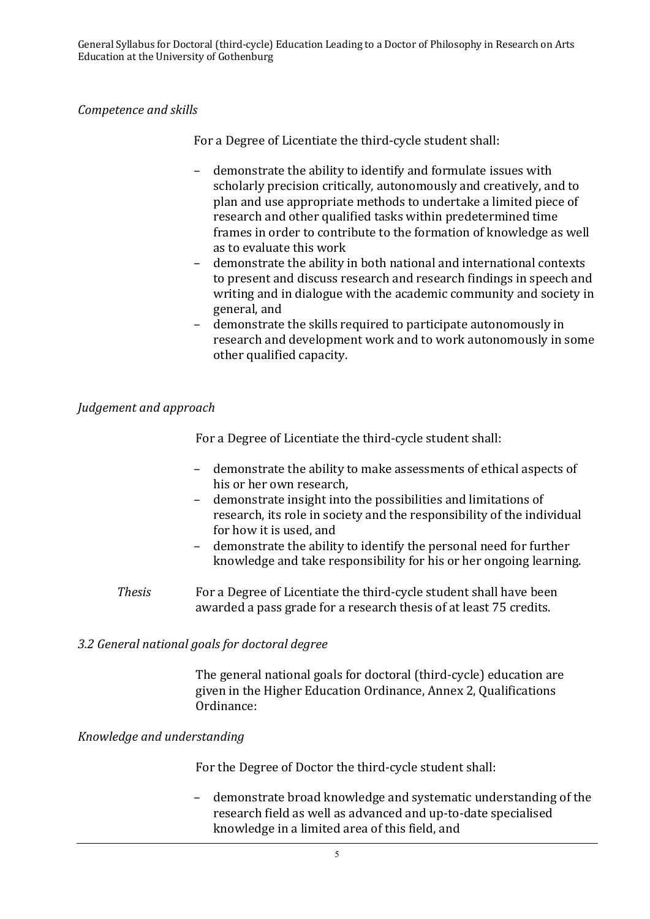### *Competence and skills*

For a Degree of Licentiate the third-cycle student shall:

- demonstrate the ability to identify and formulate issues with scholarly precision critically, autonomously and creatively, and to plan and use appropriate methods to undertake a limited piece of research and other qualified tasks within predetermined time frames in order to contribute to the formation of knowledge as well as to evaluate this work
- demonstrate the ability in both national and international contexts to present and discuss research and research findings in speech and writing and in dialogue with the academic community and society in general, and
- demonstrate the skills required to participate autonomously in research and development work and to work autonomously in some other qualified capacity.

### *Judgement and approach*

For a Degree of Licentiate the third-cycle student shall:

- demonstrate the ability to make assessments of ethical aspects of his or her own research,
- demonstrate insight into the possibilities and limitations of research, its role in society and the responsibility of the individual for how it is used, and
- demonstrate the ability to identify the personal need for further knowledge and take responsibility for his or her ongoing learning.
- *Thesis* For a Degree of Licentiate the third-cycle student shall have been awarded a pass grade for a research thesis of at least 75 credits.

### *3.2 General national goals for doctoral degree*

The general national goals for doctoral (third-cycle) education are given in the Higher Education Ordinance, Annex 2, Qualifications Ordinance:

### *Knowledge and understanding*

For the Degree of Doctor the third-cycle student shall:

- demonstrate broad knowledge and systematic understanding of the research field as well as advanced and up-to-date specialised knowledge in a limited area of this field, and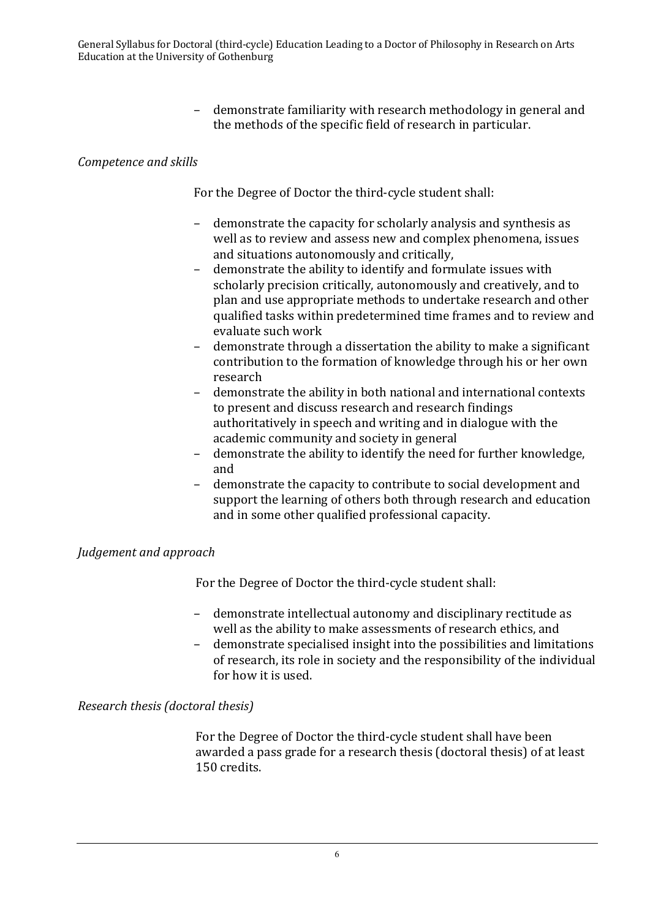demonstrate familiarity with research methodology in general and the methods of the specific field of research in particular.

## *Competence and skills*

For the Degree of Doctor the third-cycle student shall:

- demonstrate the capacity for scholarly analysis and synthesis as well as to review and assess new and complex phenomena, issues and situations autonomously and critically,
- demonstrate the ability to identify and formulate issues with scholarly precision critically, autonomously and creatively, and to plan and use appropriate methods to undertake research and other qualified tasks within predetermined time frames and to review and evaluate such work
- demonstrate through a dissertation the ability to make a significant contribution to the formation of knowledge through his or her own research
- demonstrate the ability in both national and international contexts to present and discuss research and research findings authoritatively in speech and writing and in dialogue with the academic community and society in general
- demonstrate the ability to identify the need for further knowledge, and
- demonstrate the capacity to contribute to social development and support the learning of others both through research and education and in some other qualified professional capacity.

### *Judgement and approach*

For the Degree of Doctor the third-cycle student shall:

- demonstrate intellectual autonomy and disciplinary rectitude as well as the ability to make assessments of research ethics, and
- demonstrate specialised insight into the possibilities and limitations of research, its role in society and the responsibility of the individual for how it is used.

### *Research thesis (doctoral thesis)*

For the Degree of Doctor the third-cycle student shall have been awarded a pass grade for a research thesis (doctoral thesis) of at least 150 credits.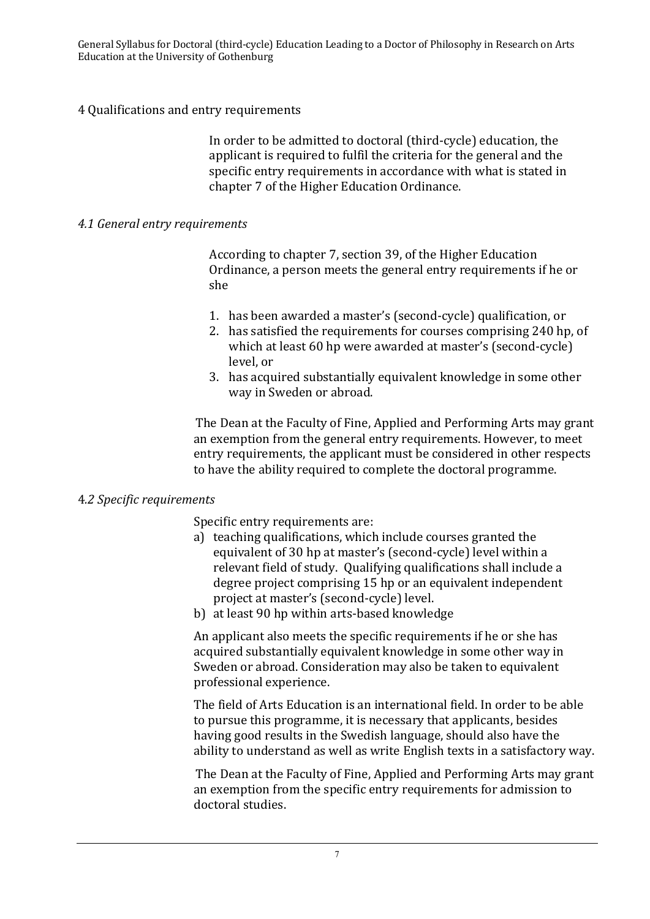General Syllabus for Doctoral (third-cycle) Education Leading to a Doctor of Philosophy in Research on Arts Education at the University of Gothenburg

#### 4 Qualifications and entry requirements

In order to be admitted to doctoral (third-cycle) education, the applicant is required to fulfil the criteria for the general and the specific entry requirements in accordance with what is stated in chapter 7 of the Higher Education Ordinance.

#### *4.1 General entry requirements*

According to chapter 7, section 39, of the Higher Education Ordinance, a person meets the general entry requirements if he or she 

- 1. has been awarded a master's (second-cycle) qualification, or
- 2. has satisfied the requirements for courses comprising 240 hp, of which at least 60 hp were awarded at master's (second-cycle) level, or
- 3. has acquired substantially equivalent knowledge in some other way in Sweden or abroad.

The Dean at the Faculty of Fine, Applied and Performing Arts may grant an exemption from the general entry requirements. However, to meet entry requirements, the applicant must be considered in other respects to have the ability required to complete the doctoral programme.

#### 4*.2 Specific requirements*

Specific entry requirements are:

- a) teaching qualifications, which include courses granted the equivalent of 30 hp at master's (second-cycle) level within a relevant field of study. Qualifying qualifications shall include a degree project comprising 15 hp or an equivalent independent project at master's (second-cycle) level.
- b) at least 90 hp within arts-based knowledge

An applicant also meets the specific requirements if he or she has acquired substantially equivalent knowledge in some other way in Sweden or abroad. Consideration may also be taken to equivalent professional experience.

The field of Arts Education is an international field. In order to be able to pursue this programme, it is necessary that applicants, besides having good results in the Swedish language, should also have the ability to understand as well as write English texts in a satisfactory way.

The Dean at the Faculty of Fine, Applied and Performing Arts may grant an exemption from the specific entry requirements for admission to doctoral studies.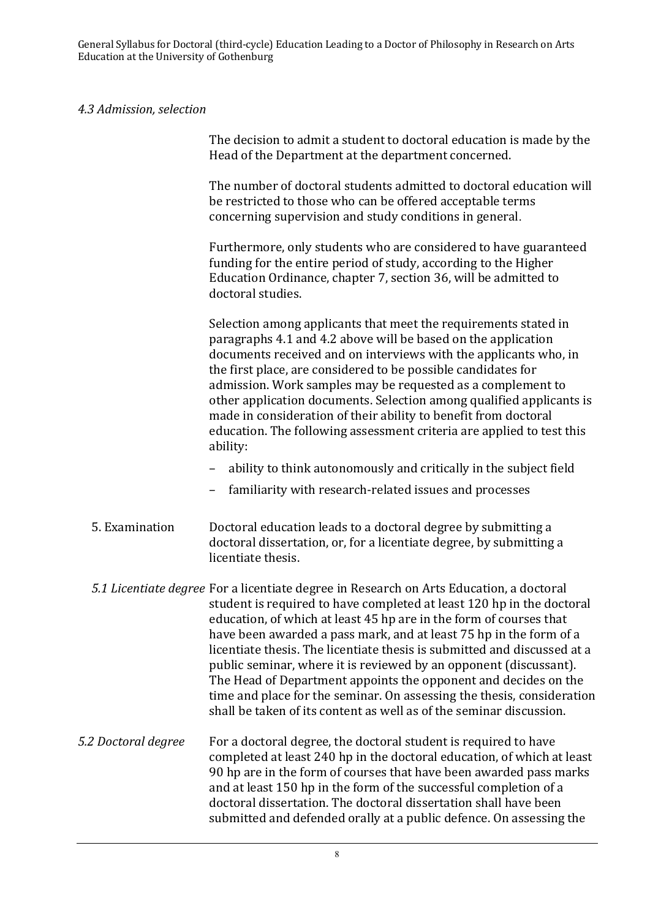General Syllabus for Doctoral (third-cycle) Education Leading to a Doctor of Philosophy in Research on Arts Education at the University of Gothenburg

## *4.3 Admission, selection*

|                     | The decision to admit a student to doctoral education is made by the<br>Head of the Department at the department concerned.                                                                                                                                                                                                                                                                                                                                                                                                                                                                                                                                                       |
|---------------------|-----------------------------------------------------------------------------------------------------------------------------------------------------------------------------------------------------------------------------------------------------------------------------------------------------------------------------------------------------------------------------------------------------------------------------------------------------------------------------------------------------------------------------------------------------------------------------------------------------------------------------------------------------------------------------------|
|                     | The number of doctoral students admitted to doctoral education will<br>be restricted to those who can be offered acceptable terms<br>concerning supervision and study conditions in general.                                                                                                                                                                                                                                                                                                                                                                                                                                                                                      |
|                     | Furthermore, only students who are considered to have guaranteed<br>funding for the entire period of study, according to the Higher<br>Education Ordinance, chapter 7, section 36, will be admitted to<br>doctoral studies.                                                                                                                                                                                                                                                                                                                                                                                                                                                       |
|                     | Selection among applicants that meet the requirements stated in<br>paragraphs 4.1 and 4.2 above will be based on the application<br>documents received and on interviews with the applicants who, in<br>the first place, are considered to be possible candidates for<br>admission. Work samples may be requested as a complement to<br>other application documents. Selection among qualified applicants is<br>made in consideration of their ability to benefit from doctoral<br>education. The following assessment criteria are applied to test this<br>ability:                                                                                                              |
|                     | ability to think autonomously and critically in the subject field                                                                                                                                                                                                                                                                                                                                                                                                                                                                                                                                                                                                                 |
|                     | familiarity with research-related issues and processes                                                                                                                                                                                                                                                                                                                                                                                                                                                                                                                                                                                                                            |
| 5. Examination      | Doctoral education leads to a doctoral degree by submitting a<br>doctoral dissertation, or, for a licentiate degree, by submitting a<br>licentiate thesis.                                                                                                                                                                                                                                                                                                                                                                                                                                                                                                                        |
|                     | 5.1 Licentiate degree For a licentiate degree in Research on Arts Education, a doctoral<br>student is required to have completed at least 120 hp in the doctoral<br>education, of which at least 45 hp are in the form of courses that<br>have been awarded a pass mark, and at least 75 hp in the form of a<br>licentiate thesis. The licentiate thesis is submitted and discussed at a<br>public seminar, where it is reviewed by an opponent (discussant).<br>The Head of Department appoints the opponent and decides on the<br>time and place for the seminar. On assessing the thesis, consideration<br>shall be taken of its content as well as of the seminar discussion. |
| 5.2 Doctoral degree | For a doctoral degree, the doctoral student is required to have<br>completed at least 240 hp in the doctoral education, of which at least<br>90 hp are in the form of courses that have been awarded pass marks<br>and at least 150 hp in the form of the successful completion of a<br>doctoral dissertation. The doctoral dissertation shall have been<br>submitted and defended orally at a public defence. On assessing the                                                                                                                                                                                                                                                   |